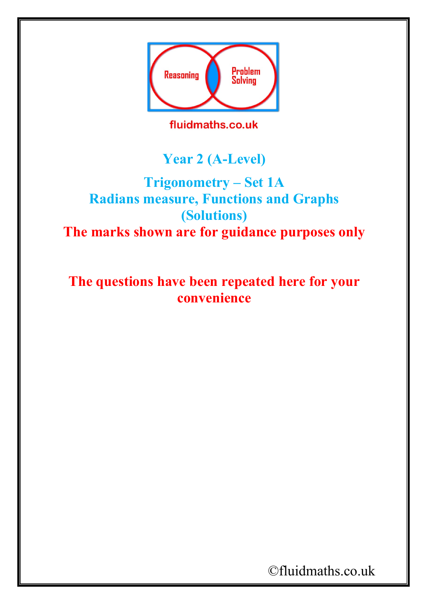

fluidmaths.co.uk

## **Year 2 (A-Level)**

## **Trigonometry – Set 1A Radians measure, Functions and Graphs (Solutions) The marks shown are for guidance purposes only**

**The questions have been repeated here for your convenience**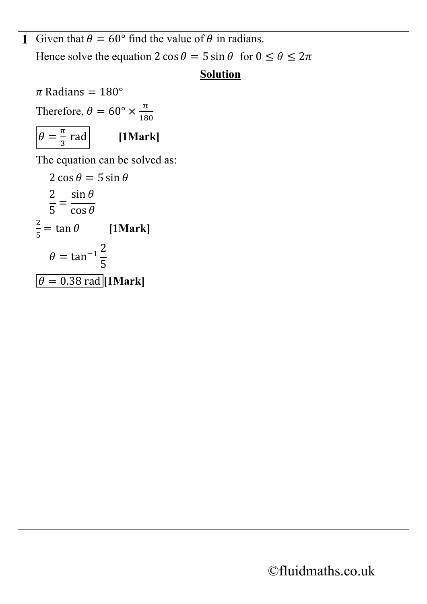**1** Given that  $\theta = 60^{\circ}$  find the value of  $\theta$  in radians. Hence solve the equation  $2 \cos \theta = 5 \sin \theta$  for  $0 \le \theta \le 2\pi$ **Solution**  $\pi$  Radians = 180° Therefore,  $\theta = 60^{\circ} \times \frac{\pi}{18}$ 180  $\theta = \frac{\pi}{3}$ [1Mark] The equation can be solved as:  $2 \cos \theta = 5 \sin \theta$  $\frac{2}{5} = \frac{\sin \theta}{\cos \theta}$  $\frac{2}{5}$  = tan  $\theta$  [1Mark]  $\theta = \tan^{-1} \frac{2}{5}$ 5  $\theta = 0.38$  rad [1Mark]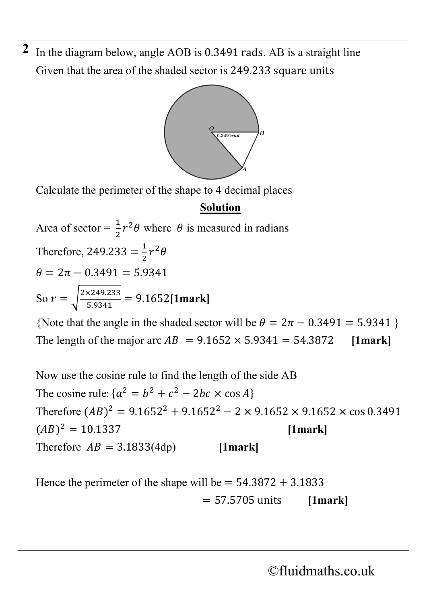**2** In the diagram below, angle AOB is 0.3491 rads. AB is a straight line Given that the area of the shaded sector is 249.233 square units



Calculate the perimeter of the shape to 4 decimal places

## **Solution**

Area of sector =  $\frac{1}{2}$  $\frac{1}{2}r^2\theta$  where  $\theta$  is measured in radians Therefore, 249.233 =  $\frac{1}{2}r^2\theta$  $\theta = 2\pi - 0.3491 = 5.9341$ So  $r = \sqrt{\frac{2 \times 249.233}{5.9341}} = 9.1652$ [1mark]

{Note that the angle in the shaded sector will be  $\theta = 2\pi - 0.3491 = 5.9341$  } The length of the major arc  $AB = 9.1652 \times 5.9341 = 54.3872$  [1mark]

Now use the cosine rule to find the length of the side AB The cosine rule:  $\{a^2 = b^2 + c^2 - 2bc \times \cos A\}$ Therefore  $(AB)^2 = 9.1652^2 + 9.1652^2 - 2 \times 9.1652 \times 9.1652 \times \cos 0.3491$  $(AB)^2 = 10.1337$  [1mark] Therefore  $AB = 3.1833(4dp)$  [1mark]

Hence the perimeter of the shape will be  $= 54.3872 + 3.1833$ = 57.5705 units **[1mark]**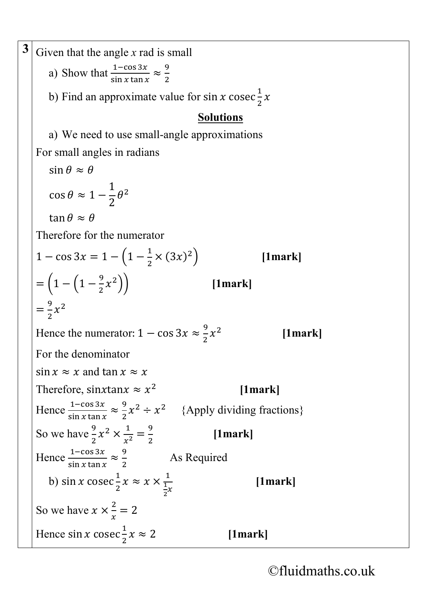**3** Given that the angle x rad is small a) Show that  $\frac{1-\cos 3x}{\sin x \tan x}$  $rac{1-\cos 3x}{\sin x \tan x} \approx \frac{9}{2}$ 2 b) Find an approximate value for sin x cosec $\frac{1}{2}$  $\frac{1}{2}x$ **Solutions** a) We need to use small-angle approximations For small angles in radians  $\sin \theta \approx \theta$  $\cos \theta \approx 1 - \frac{1}{2}$  $\frac{1}{2}\theta^2$ tan  $\theta \approx \theta$ Therefore for the numerator  $1 - \cos 3x = 1 - \left(1 - \frac{1}{2} \times (3x)^2\right)$  [1mark]  $=\left(1-\left(1-\frac{9}{2}\right)\right)$ 2�� **[1mark]**  $=\frac{9}{2}x^2$ Hence the numerator:  $1 - \cos 3x \approx \frac{9}{2}$ 2 <sup>2</sup> **[1mark]** For the denominator  $\sin x \approx x$  and  $\tan x \approx x$ Therefore, sinxtan $x \approx x^2$  [1mark] Hence  $\frac{1-\cos 3x}{\sin x \tan x}$  $rac{1-\cos 3x}{\sin x \tan x} \approx \frac{9}{2}$  $\frac{1}{2}x^2 \div x^2$  {Apply dividing fractions} So we have  $\frac{9}{3}$  $\frac{9}{2}x^2 \times \frac{1}{x^2} = \frac{9}{2}$  **[1mark]** Hence  $\frac{1-\cos 3x}{\sin x \tan x}$  $rac{1-\cos 3x}{\sin x \tan x} \approx \frac{9}{2}$ 2 As Required b) sin *x* cosec $\frac{1}{2}$  $\frac{1}{2}x \approx x \times \frac{1}{\frac{1}{2}x}$  $\frac{1}{2}x$ 2 **[1mark]** So we have  $x \times \frac{2}{x} = 2$ Hence sin x cosec $\frac{1}{2}$ 2 ≈ 2 **[1mark]**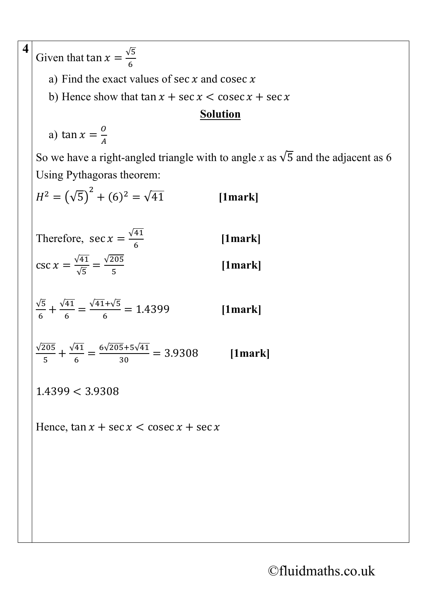**4** Given that  $\tan x = \frac{\sqrt{5}}{6}$ a) Find the exact values of sec  $x$  and cosec  $x$ b) Hence show that  $\tan x + \sec x < \csc x + \sec x$ **Solution** a) tan  $x = \frac{0}{A}$ So we have a right-angled triangle with to angle *x* as  $\sqrt{5}$  and the adjacent as 6 Using Pythagoras theorem:  $H^2 = (\sqrt{5})^2 + (6)^2 = \sqrt{41}$  [1mark] Therefore, sec  $x = \frac{\sqrt{41}}{6}$ 6 **[1mark]**  $\csc x = \frac{\sqrt{41}}{\sqrt{5}} = \frac{\sqrt{205}}{5}$ 5 **[1mark]**  $\sqrt{5}$  $\frac{\sqrt{5}}{6} + \frac{\sqrt{41}}{6} = \frac{\sqrt{41} + \sqrt{5}}{6} = 1.4399$  [1mark]  $\frac{\sqrt{205}}{5} + \frac{\sqrt{41}}{6} = \frac{6\sqrt{205} + 5\sqrt{41}}{30} = 3.9308$  [1mark] 1.4399 < 3.9308 Hence,  $\tan x + \sec x < \csc x + \sec x$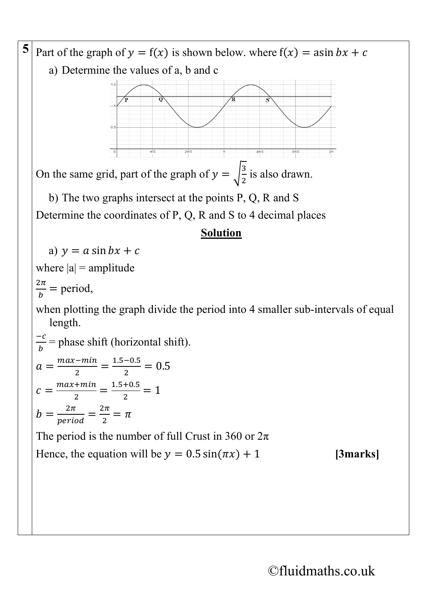**5** Part of the graph of  $y = f(x)$  is shown below. where  $f(x) = a\sin bx + c$ a) Determine the values of a, b and c On the same grid, part of the graph of  $y = \sqrt{\frac{3}{2}}$ is also drawn. b) The two graphs intersect at the points P, Q, R and S Determine the coordinates of P, Q, R and S to 4 decimal places **Solution** a)  $y = a \sin bx + c$ where  $|a|$  = amplitude  $\frac{2\pi}{b}$  = period, when plotting the graph divide the period into 4 smaller sub-intervals of equal length.  $\frac{-c}{b}$  = phase shift (horizontal shift).  $a = \frac{max - min}{2} = \frac{1.5 - 0.5}{2} = 0.5$  $c = \frac{max + min}{2} = \frac{1.5 + 0.5}{2} = 1$  $b = \frac{2\pi}{period} = \frac{2\pi}{2} = \pi$ The period is the number of full Crust in 360 or  $2\pi$ Hence, the equation will be  $y = 0.5 \sin(\pi x) + 1$  [3marks]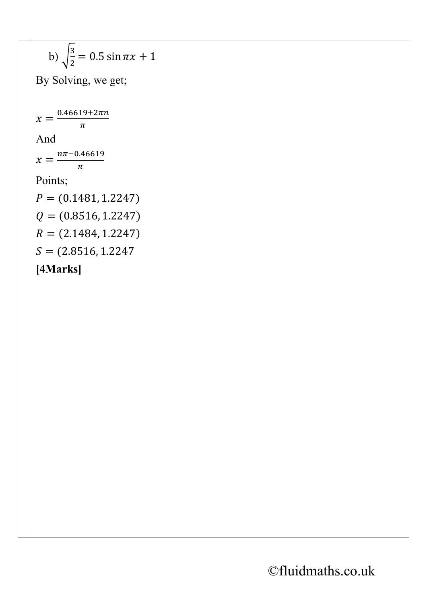b) 
$$
\sqrt{\frac{3}{2}} = 0.5 \sin \pi x + 1
$$
  
\nBy Solving, we get;  
\n $x = \frac{0.46619 + 2\pi n}{\pi}$   
\nAnd  
\n $x = \frac{n\pi - 0.46619}{\pi}$   
\nPoints;  
\n $P = (0.1481, 1.2247)$   
\n $Q = (0.8516, 1.2247)$   
\n $R = (2.1484, 1.2247)$   
\n $S = (2.8516, 1.2247)$   
\n[4 Marks]